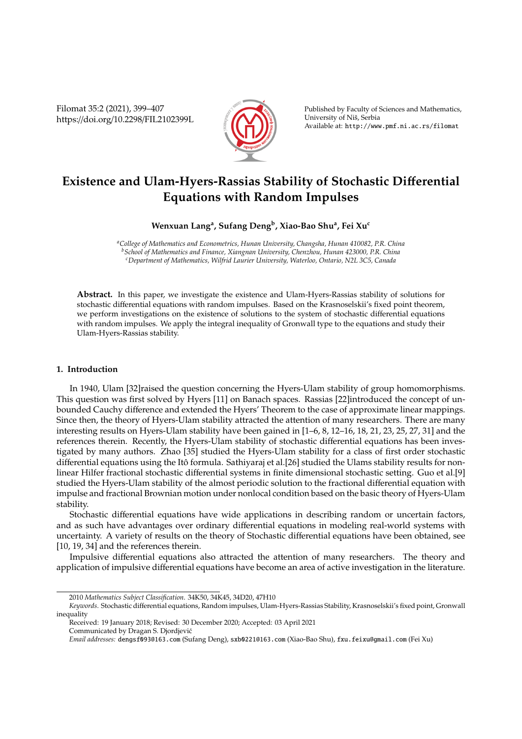Filomat 35:2 (2021), 399–407 https://doi.org/10.2298/FIL2102399L



Published by Faculty of Sciences and Mathematics, University of Nis, Serbia ˇ Available at: http://www.pmf.ni.ac.rs/filomat

# **Existence and Ulam-Hyers-Rassias Stability of Stochastic Di**ff**erential Equations with Random Impulses**

## **Wenxuan Lang<sup>a</sup> , Sufang Deng<sup>b</sup> , Xiao-Bao Shu<sup>a</sup> , Fei Xu<sup>c</sup>**

*<sup>a</sup>College of Mathematics and Econometrics, Hunan University, Changsha, Hunan 410082, P.R. China <sup>b</sup>School of Mathematics and Finance, Xiangnan University, Chenzhou, Hunan 423000, P.R. China <sup>c</sup>Department of Mathematics, Wilfrid Laurier University, Waterloo, Ontario, N2L 3C5, Canada*

**Abstract.** In this paper, we investigate the existence and Ulam-Hyers-Rassias stability of solutions for stochastic differential equations with random impulses. Based on the Krasnoselskii's fixed point theorem, we perform investigations on the existence of solutions to the system of stochastic differential equations with random impulses. We apply the integral inequality of Gronwall type to the equations and study their Ulam-Hyers-Rassias stability.

## **1. Introduction**

In 1940, Ulam [32]raised the question concerning the Hyers-Ulam stability of group homomorphisms. This question was first solved by Hyers [11] on Banach spaces. Rassias [22]introduced the concept of unbounded Cauchy difference and extended the Hyers' Theorem to the case of approximate linear mappings. Since then, the theory of Hyers-Ulam stability attracted the attention of many researchers. There are many interesting results on Hyers-Ulam stability have been gained in [1–6, 8, 12–16, 18, 21, 23, 25, 27, 31] and the references therein. Recently, the Hyers-Ulam stability of stochastic differential equations has been investigated by many authors. Zhao [35] studied the Hyers-Ulam stability for a class of first order stochastic differential equations using the Itô formula. Sathiyaraj et al.[26] studied the Ulams stability results for nonlinear Hilfer fractional stochastic differential systems in finite dimensional stochastic setting. Guo et al.[9] studied the Hyers-Ulam stability of the almost periodic solution to the fractional differential equation with impulse and fractional Brownian motion under nonlocal condition based on the basic theory of Hyers-Ulam stability.

Stochastic differential equations have wide applications in describing random or uncertain factors, and as such have advantages over ordinary differential equations in modeling real-world systems with uncertainty. A variety of results on the theory of Stochastic differential equations have been obtained, see [10, 19, 34] and the references therein.

Impulsive differential equations also attracted the attention of many researchers. The theory and application of impulsive differential equations have become an area of active investigation in the literature.

<sup>2010</sup> *Mathematics Subject Classification*. 34K50, 34K45, 34D20, 47H10

*Keywords*. Stochastic differential equations, Random impulses, Ulam-Hyers-Rassias Stability, Krasnoselskii's fixed point, Gronwall inequality

Received: 19 January 2018; Revised: 30 December 2020; Accepted: 03 April 2021

Communicated by Dragan S. Djordjevic´

*Email addresses:* dengsf093@163.com (Sufang Deng), sxb0221@163.com (Xiao-Bao Shu), fxu.feixu@gmail.com (Fei Xu)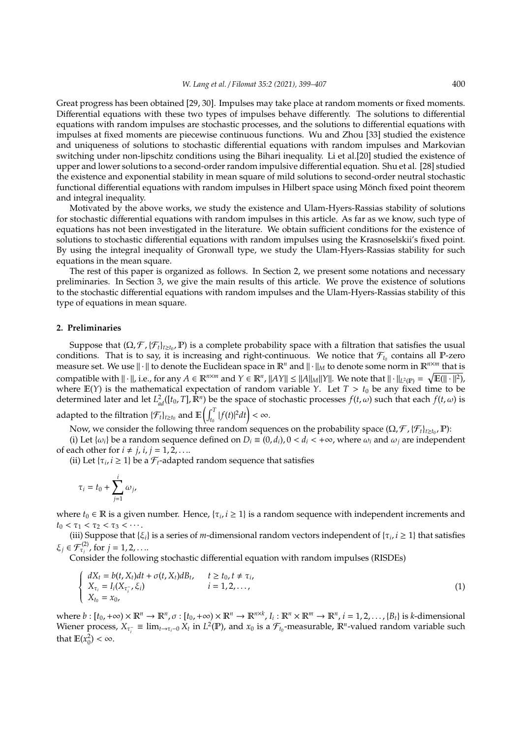Great progress has been obtained [29, 30]. Impulses may take place at random moments or fixed moments. Differential equations with these two types of impulses behave differently. The solutions to differential equations with random impulses are stochastic processes, and the solutions to differential equations with impulses at fixed moments are piecewise continuous functions. Wu and Zhou [33] studied the existence and uniqueness of solutions to stochastic differential equations with random impulses and Markovian switching under non-lipschitz conditions using the Bihari inequality. Li et al.[20] studied the existence of upper and lower solutions to a second-order random impulsive differential equation. Shu et al. [28] studied the existence and exponential stability in mean square of mild solutions to second-order neutral stochastic functional differential equations with random impulses in Hilbert space using Mönch fixed point theorem and integral inequality.

Motivated by the above works, we study the existence and Ulam-Hyers-Rassias stability of solutions for stochastic differential equations with random impulses in this article. As far as we know, such type of equations has not been investigated in the literature. We obtain sufficient conditions for the existence of solutions to stochastic differential equations with random impulses using the Krasnoselskii's fixed point. By using the integral inequality of Gronwall type, we study the Ulam-Hyers-Rassias stability for such equations in the mean square.

The rest of this paper is organized as follows. In Section 2, we present some notations and necessary preliminaries. In Section 3, we give the main results of this article. We prove the existence of solutions to the stochastic differential equations with random impulses and the Ulam-Hyers-Rassias stability of this type of equations in mean square.

### **2. Preliminaries**

Suppose that  $(\Omega, \mathcal{F}, \{\mathcal{F}_t\}_{t\geq t_0}, \mathbb{P})$  is a complete probability space with a filtration that satisfies the usual conditions. That is to say, it is increasing and right-continuous. We notice that  $\mathcal{F}_{t_0}$  contains all P-zero measure set. We use  $\|\cdot\|$  to denote the Euclidean space in  $\mathbb{R}^n$  and  $\|\cdot\|_M$  to denote some norm in  $\mathbb{R}^{n\times m}$  that is compatible with  $\|\cdot\|$ , i.e., for any  $A \in \mathbb{R}^{n \times m}$  and  $Y \in \mathbb{R}^n$ ,  $\|AY\| \le \|A\|_M \|Y\|$ . We note that  $\|\cdot\|_{L^2(\mathbb{P})} = \sqrt{\mathbb{E}(\|\cdot\|^2)}$ , where  $E(Y)$  is the mathematical expectation of random variable *Y*. Let  $T > t_0$  be any fixed time to be determined later and let  $L_{ad}^2([t_0, T], \mathbb{R}^n)$  be the space of stochastic processes  $f(t, \omega)$  such that each  $f(t, \omega)$  is adapted to the filtration  $\{\mathcal{F}_t\}_{t\geq t_0}$  and  $\mathbb{E}\left(\int_{t_0}^T|f(t)|^2dt\right)<\infty$ .

Now, we consider the following three random sequences on the probability space ( $\Omega, \mathcal{F}$  , { $\mathcal{F}_t$ }<sub>*t*≥*t*<sub>0</sub></sub>, **P**):

(i) Let  $\{\omega_i\}$  be a random sequence defined on  $D_i \equiv (0, d_i)$ ,  $0 < d_i < +\infty$ , where  $\omega_i$  and  $\omega_j$  are independent of each other for  $i \neq j$ ,  $i, j = 1, 2, \ldots$ .

(ii) Let  $\{\tau_i, i \geq 1\}$  be a  $\mathcal{F}_t$ -adapted random sequence that satisfies

$$
\tau_i=t_0+\sum_{j=1}^i \omega_j,
$$

where  $t_0 \in \mathbb{R}$  is a given number. Hence,  $\{\tau_i, i \geq 1\}$  is a random sequence with independent increments and  $t_0 < \tau_1 < \tau_2 < \tau_3 < \cdots$ .

(iii) Suppose that  $\{\xi_i\}$  is a series of *m*-dimensional random vectors independent of  $\{\tau_i, i \geq 1\}$  that satisfies  $\xi_j \in \mathcal{F}_{\tau_j}^{(2)}$ , for  $j = 1, 2, \ldots$ 

Consider the following stochastic differential equation with random impulses (RISDEs)

$$
\begin{cases}\n dX_t = b(t, X_t)dt + \sigma(t, X_t)dB_t, & t \ge t_0, t \ne \tau_i, \\
 X_{\tau_i} = I_i(X_{\tau_i^-}, \xi_i) & i = 1, 2, ..., \\
 X_{t_0} = x_0,\n\end{cases}
$$
\n(1)

where  $b:[t_0,+\infty)\times\mathbb{R}^n\to\mathbb{R}^n$ ,  $\sigma:[t_0,+\infty)\times\mathbb{R}^n\to\mathbb{R}^{n\times k}$ ,  $I_i:\mathbb{R}^n\times\mathbb{R}^m\to\mathbb{R}^n$ ,  $i=1,2,\ldots,[B_t]$  is k-dimensional Wiener process,  $X_{\tau_i^-} \equiv \lim_{t \to \tau_i^- 0} X_t$  in  $L^2(\mathbb{P})$ , and  $x_0$  is a  $\mathcal{F}_{t_0}$ -measurable,  $\mathbb{R}^n$ -valued random variable such that  $\mathbb{E}(x_0^2) < \infty$ .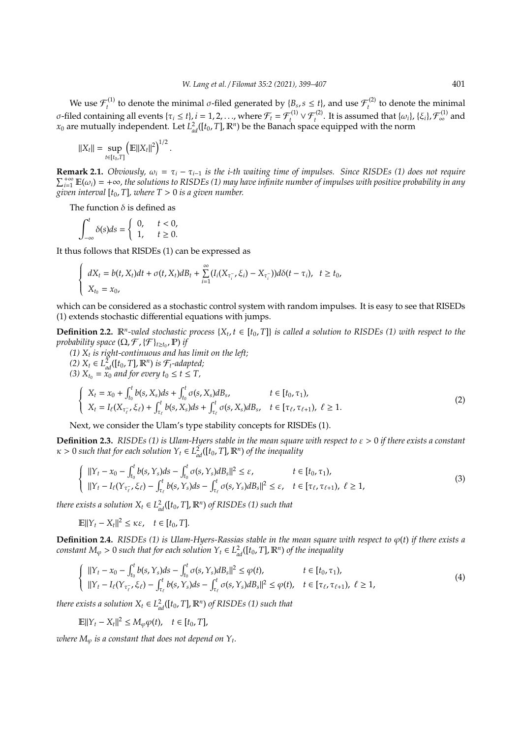We use  $\mathcal{F}_t^{(1)}$ *t*<sup>(1)</sup> to denote the minimal *σ*-filed generated by  $\{B_s, s \le t\}$ , and use  $\mathcal{F}_t^{(2)}$  $t_t^{(2)}$  to denote the minimal *σ*-filed containing all events { $τ<sub>i</sub> ≤ t$ }, *i* = 1, 2, . . ., where  $\mathcal{F}<sub>t</sub> = \mathcal{F}<sub>t</sub><sup>(1)</sup> ∨ \mathcal{F}<sub>t</sub><sup>(2)</sup>$ . It is assumed that { $ω<sub>i</sub>$ }, { $ξ<sub>i</sub>$ },  $\mathcal{F}<sub>∞</sub><sup>(1)</sup>$  and  $x_0$  are mutually independent. Let  $L^2_{ad}([t_0, T], \mathbb{R}^n)$  be the Banach space equipped with the norm

$$
||X_t|| = \sup_{t \in [t_0,T]} ( \mathbb{E} ||X_t||^2 )^{1/2}.
$$

**Remark 2.1.** *Obviously,*  $\omega_i = \tau_i - \tau_{i-1}$  *is the i-th waiting time of impulses. Since RISDEs (1) does not require*  $\sum_{i=1}^{+\infty} \mathbb{E}(\omega_i) = +\infty$ , the solutions to RISDEs (1) may have infinite number of impulses with positive probability in any *given interval* [*t*0, *T*]*, where T* > 0 *is a given number.*

The function  $\delta$  is defined as

$$
\int_{-\infty}^{t} \delta(s)ds = \begin{cases} 0, & t < 0, \\ 1, & t \ge 0. \end{cases}
$$

It thus follows that RISDEs (1) can be expressed as

$$
\begin{cases}\n dX_t = b(t, X_t)dt + \sigma(t, X_t)dB_t + \sum_{i=1}^{\infty} (I_i(X_{\tau_i^-}, \xi_i) - X_{\tau_i^-}))d\delta(t - \tau_i), & t \geq t_0, \\
 X_{t_0} = x_0,\n\end{cases}
$$

which can be considered as a stochastic control system with random impulses. It is easy to see that RISEDs (1) extends stochastic differential equations with jumps.

**Definition 2.2.**  $\mathbb{R}^n$ -valed stochastic process  $\{X_t, t \in [t_0, T]\}$  is called a solution to RISDEs (1) with respect to the *probability space*  $(\Omega, \mathcal{F}, \{\mathcal{F}\}_{t\geq t_0}, \mathbb{P})$  *if* 

*(1) X<sup>t</sup> is right-continuous and has limit on the left;*

*(2)*  $X_t$  ∈  $L^2_{ad}([t_0, T], \mathbb{R}^n)$  *is*  $\mathcal{F}_t$ *-adapted*;

*(3)*  $X_{t_0} = x_0$  *and for every*  $t_0 \le t \le T$ ,

$$
\begin{cases}\nX_t = x_0 + \int_{t_0}^t b(s, X_s) ds + \int_{t_0}^t \sigma(s, X_s) dB_s, & t \in [t_0, \tau_1), \\
X_t = I_\ell(X_{\tau_\ell^{-}}, \xi_\ell) + \int_{\tau_\ell}^t b(s, X_s) ds + \int_{\tau_\ell}^t \sigma(s, X_s) dB_s, & t \in [\tau_\ell, \tau_{\ell+1}), \ \ell \ge 1.\n\end{cases}
$$
\n(2)

Next, we consider the Ulam's type stability concepts for RISDEs (1).

**Definition 2.3.** *RISDEs (1) is Ulam-Hyers stable in the mean square with respect to* ε > 0 *if there exists a constant*  $\kappa > 0$  such that for each solution  $Y_t \in L^2_{ad}([t_0, T], \mathbb{R}^n)$  of the inequality

$$
\begin{cases}\n||Y_t - x_0 - \int_{t_0}^t b(s, Y_s)ds - \int_{t_0}^t \sigma(s, Y_s)dB_s||^2 \le \varepsilon, & t \in [t_0, \tau_1), \\
||Y_t - I_\ell(Y_{\tau_\ell^-}, \xi_\ell) - \int_{\tau_\ell}^t b(s, Y_s)ds - \int_{\tau_\ell}^t \sigma(s, Y_s)dB_s||^2 \le \varepsilon, & t \in [\tau_\ell, \tau_{\ell+1}), \ \ell \ge 1,\n\end{cases}
$$
\n(3)

*there exists a solution*  $X_t \in L^2_{ad}([t_0, T], \mathbb{R}^n)$  *of RISDEs* (1) such that

 $\mathbb{E} \Vert Y_t - X_t \Vert^2 \leq \kappa \varepsilon, \quad t \in [t_0, T].$ 

**Definition 2.4.** *RISDEs (1) is Ulam-Hyers-Rassias stable in the mean square with respect to*  $\varphi(t)$  *if there exists a constant*  $M_{\varphi} > 0$  *such that for each solution*  $Y_t \in L^2_{ad}([t_0, T], \mathbb{R}^n)$  *of the inequality* 

$$
\begin{cases} \|\Upsilon_t - x_0 - \int_{t_0}^t b(s, Y_s) ds - \int_{t_0}^t \sigma(s, Y_s) dB_s \|^2 \le \varphi(t), & t \in [t_0, \tau_1), \\ \|\Upsilon_t - I_\ell(\Upsilon_{\tau_\ell^-}, \xi_\ell) - \int_{\tau_\ell}^t b(s, Y_s) ds - \int_{\tau_\ell}^t \sigma(s, Y_s) dB_s \|^2 \le \varphi(t), & t \in [\tau_\ell, \tau_{\ell+1}), \ \ell \ge 1, \end{cases}
$$
(4)

*there exists a solution*  $X_t \in L^2_{ad}([t_0, T], \mathbb{R}^n)$  *of RISDEs* (1) such that

$$
\mathbb{E}||Y_t - X_t||^2 \le M_\varphi \varphi(t), \quad t \in [t_0, T],
$$

where  $M_\varphi$  is a constant that does not depend on  $Y_t.$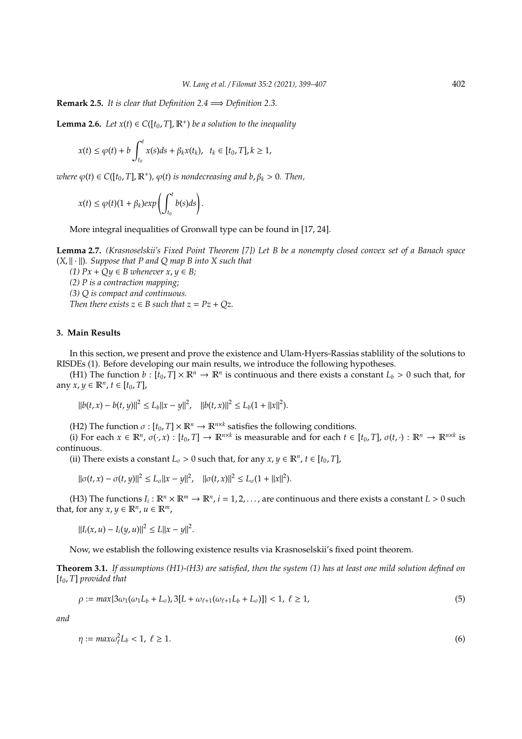**Remark 2.5.** *It is clear that Definition 2.4*  $\implies$  *Definition 2.3.* 

**Lemma 2.6.** *Let*  $x(t) \in C([t_0, T], \mathbb{R}^+)$  *be a solution to the inequality* 

$$
x(t) \leq \varphi(t) + b \int_{t_0}^t x(s)ds + \beta_k x(t_k), \quad t_k \in [t_0, T], k \geq 1,
$$

 $\omega$ *here*  $\varphi$ (*t*)  $\in$  *C*([*t*<sub>0</sub>, *T*],  $\mathbb{R}^+$ ),  $\varphi$ (*t*) *is nondecreasing and b*,  $\beta_k$  > 0. *Then*,

$$
x(t) \leq \varphi(t)(1+\beta_k)exp\left(\int_{t_0}^t b(s)ds\right).
$$

More integral inequalities of Gronwall type can be found in [17, 24].

**Lemma 2.7.** *(Krasnoselskii's Fixed Point Theorem [7]) Let B be a nonempty closed convex set of a Banach space*  $(X, \|\cdot\|)$ *. Suppose that P and Q map B into X such that* 

*(1)*  $Px$  +  $Qy$  ∈ *B* whenever  $x, y$  ∈ *B*;

*(2) P is a contraction mapping; (3) Q is compact and continuous.*

*Then there exists*  $z \in B$  *such that*  $z = Pz + Qz$ .

## **3. Main Results**

In this section, we present and prove the existence and Ulam-Hyers-Rassias stablility of the solutions to RISDEs (1). Before developing our main results, we introduce the following hypotheses.

(H1) The function  $b : [t_0, T] \times \mathbb{R}^n \to \mathbb{R}^n$  is continuous and there exists a constant  $L_b > 0$  such that, for any *x*, *y* ∈  $\mathbb{R}^n$ , *t* ∈  $[t_0, T]$ ,

 $||b(t, x) - b(t, y)||^2 \le L_b||x - y||^2$ ,  $||b(t, x)||^2 \le L_b(1 + ||x||^2)$ .

(H2) The function  $\sigma$  :  $[t_0, T] \times \mathbb{R}^n \to \mathbb{R}^{n \times k}$  satisfies the following conditions.

(i) For each  $x \in \mathbb{R}^n$ ,  $\sigma(\cdot, x) : [t_0, T] \to \mathbb{R}^{n \times k}$  is measurable and for each  $t \in [t_0, T]$ ,  $\sigma(t, \cdot) : \mathbb{R}^n \to \mathbb{R}^{n \times k}$  is continuous.

(ii) There exists a constant  $L_{\sigma} > 0$  such that, for any  $x, y \in \mathbb{R}^n$ ,  $t \in [t_0, T]$ ,

$$
\|\sigma(t,x)-\sigma(t,y)\|^2 \le L_{\sigma} \|x-y\|^2, \quad \|\sigma(t,x)\|^2 \le L_{\sigma} (1+\|x\|^2).
$$

(H3) The functions  $I_i: \mathbb{R}^n \times \mathbb{R}^m \to \mathbb{R}^n$ ,  $i = 1, 2, ...,$  are continuous and there exists a constant  $L > 0$  such that, for any  $x, y \in \mathbb{R}^n$ ,  $u \in \mathbb{R}^m$ ,

 $||I_i(x, u) - I_i(y, u)||^2 \le L||x - y||^2.$ 

Now, we establish the following existence results via Krasnoselskii's fixed point theorem.

**Theorem 3.1.** *If assumptions (H1)-(H3) are satisfied, then the system (1) has at least one mild solution defined on* [*t*0, *T*] *provided that*

$$
\rho := \max\{3\omega_1(\omega_1 L_b + L_{\sigma}), 3[L + \omega_{\ell+1}(\omega_{\ell+1} L_b + L_{\sigma})]\} < 1, \ \ell \ge 1,
$$
\n(5)

*and*

$$
\eta := \max \omega_{\ell}^2 L_b < 1, \ \ell \ge 1. \tag{6}
$$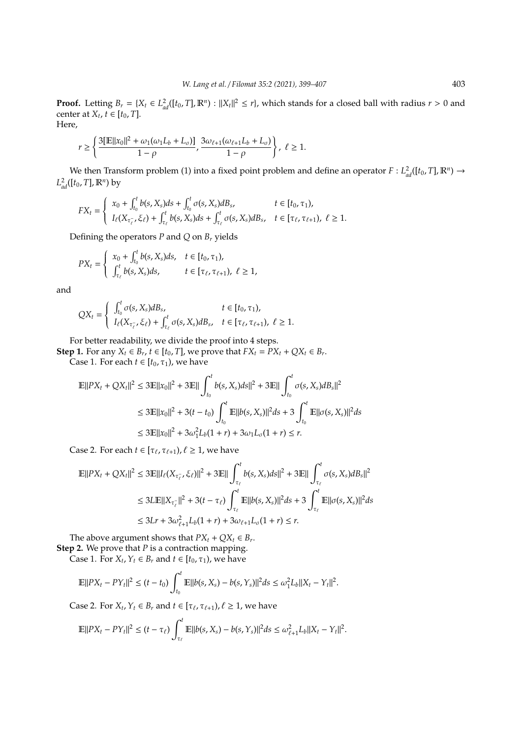**Proof.** Letting  $B_r = \{X_t \in L^2_{ad}([t_0, T], \mathbb{R}^n) : ||X_t||^2 \leq r\}$ , which stands for a closed ball with radius  $r > 0$  and center at  $X_t$ ,  $t \in [t_0, T]$ . Here,

$$
r\geq\left\{\frac{3[\mathbb{E}\|x_0\|^2+\omega_1(\omega_1L_b+L_{\sigma})]}{1-\rho},\frac{3\omega_{\ell+1}(\omega_{\ell+1}L_b+L_{\sigma})}{1-\rho}\right\},\ \ell\geq 1.
$$

We then Transform problem (1) into a fixed point problem and define an operator  $F: L^2_{ad}([t_0, T], \mathbb{R}^n) \to$  $L_{ad}^2([t_0, T], \mathbb{R}^n)$  by

$$
FX_t = \begin{cases} x_0 + \int_{t_0}^t b(s, X_s) ds + \int_{t_0}^t \sigma(s, X_s) dB_s, & t \in [t_0, \tau_1), \\ I_{\ell}(X_{\tau_{\ell}^{-}}, \xi_{\ell}) + \int_{\tau_{\ell}}^t b(s, X_s) ds + \int_{\tau_{\ell}}^t \sigma(s, X_s) dB_s, & t \in [\tau_{\ell}, \tau_{\ell+1}), \ \ell \geq 1. \end{cases}
$$

Defining the operators *P* and *Q* on *B<sup>r</sup>* yields

$$
PX_{t} = \begin{cases} x_{0} + \int_{t_{0}}^{t} b(s, X_{s}) ds, & t \in [t_{0}, \tau_{1}), \\ \int_{\tau_{\ell}}^{t} b(s, X_{s}) ds, & t \in [\tau_{\ell}, \tau_{\ell+1}), \ \ell \geq 1, \end{cases}
$$

and

$$
QX_t = \begin{cases} \int_{t_0}^t \sigma(s, X_s) dB_s, & t \in [t_0, \tau_1), \\ I_{\ell}(X_{\tau_{\ell}}, \xi_{\ell}) + \int_{\tau_{\ell}}^t \sigma(s, X_s) dB_s, & t \in [\tau_{\ell}, \tau_{\ell+1}), \ \ell \geq 1. \end{cases}
$$

For better readability, we divide the proof into 4 steps.

**Step 1.** For any  $X_t \in B_r$ ,  $t \in [t_0, T]$ , we prove that  $FX_t = PX_t + QX_t \in B_r$ . Case 1. For each  $t \in [t_0, \tau_1)$ , we have

$$
\mathbb{E}||PX_t + QX_t||^2 \le 3\mathbb{E}||x_0||^2 + 3\mathbb{E}||\int_{t_0}^t b(s, X_s)ds||^2 + 3\mathbb{E}||\int_{t_0}^t \sigma(s, X_s)dB_s||^2
$$
  
\n
$$
\le 3\mathbb{E}||x_0||^2 + 3(t - t_0)\int_{t_0}^t \mathbb{E}||b(s, X_s)||^2 ds + 3\int_{t_0}^t \mathbb{E}||\sigma(s, X_s)||^2 ds
$$
  
\n
$$
\le 3\mathbb{E}||x_0||^2 + 3\omega_1^2L_b(1 + r) + 3\omega_1L_c(1 + r) \le r.
$$

Case 2. For each  $t \in [\tau_{\ell}, \tau_{\ell+1}), \ell \geq 1$ , we have

$$
\mathbb{E}||PX_t + QX_t||^2 \le 3\mathbb{E}||I_{\ell}(X_{\tau_{\ell}}, \xi_{\ell})||^2 + 3\mathbb{E}||\int_{\tau_{\ell}}^t b(s, X_s)ds||^2 + 3\mathbb{E}||\int_{\tau_{\ell}}^t \sigma(s, X_s)dB_s||^2
$$
  
\n
$$
\le 3L\mathbb{E}||X_{\tau_{\ell}}||^2 + 3(t - \tau_{\ell})\int_{\tau_{\ell}}^t \mathbb{E}||b(s, X_s)||^2 ds + 3\int_{\tau_{\ell}}^t \mathbb{E}||\sigma(s, X_s)||^2 ds
$$
  
\n
$$
\le 3Lr + 3\omega_{\ell+1}^2 L_b(1 + r) + 3\omega_{\ell+1} L_{\sigma}(1 + r) \le r.
$$

The above argument shows that  $PX_t + QX_t \in B_r$ . **Step 2.** We prove that *P* is a contraction mapping.

Case 1. For  $X_t$ ,  $Y_t \in B_r$  and  $t \in [t_0, \tau_1)$ , we have

$$
\mathbb{E}||PX_t - PY_t||^2 \le (t - t_0) \int_{t_0}^t \mathbb{E}||b(s, X_s) - b(s, Y_s)||^2 ds \le \omega_1^2 L_b ||X_t - Y_t||^2.
$$

Case 2. For  $X_t$ ,  $Y_t \in B_t$  and  $t \in [\tau_\ell, \tau_{\ell+1}), \ell \geq 1$ , we have

$$
\mathbb{E}||PX_t - PY_t||^2 \le (t - \tau_\ell) \int_{\tau_\ell}^t \mathbb{E}||b(s, X_s) - b(s, Y_s)||^2 ds \le \omega_{\ell+1}^2 L_b||X_t - Y_t||^2.
$$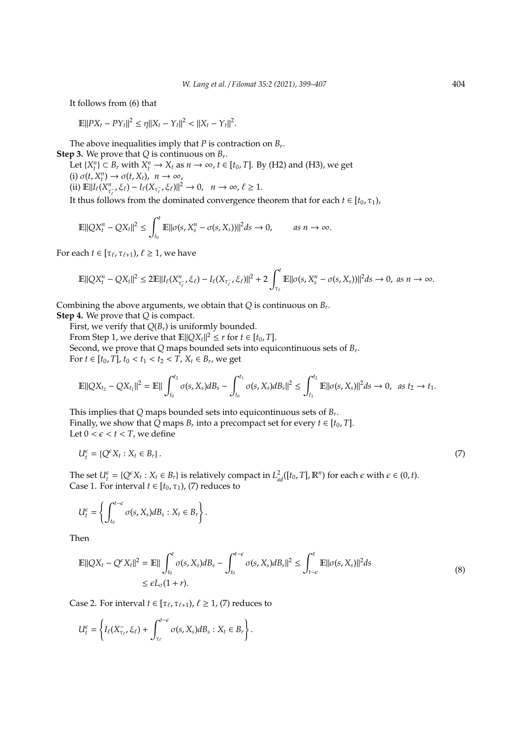It follows from (6) that

$$
\mathbb{E}||PX_t - PY_t||^2 \le \eta ||X_t - Y_t||^2 < ||X_t - Y_t||^2.
$$

The above inequalities imply that *P* is contraction on *B<sup>r</sup>* . **Step 3.** We prove that *Q* is continuous on *B<sup>r</sup>* .

Let  $\{X_t^n\} \subset B_r$  with  $X_t^n \to X_t$  as  $n \to \infty$ ,  $t \in [t_0, T]$ . By (H2) and (H3), we get  $(i) \sigma(t, X_t^n) \to \sigma(t, X_t), \quad n \to \infty,$  $\lim_{\tau \to 0} \mathbb{E} \|\mathcal{I}_{\ell}(X_{\tau_{\ell}}^n, \xi_{\ell}) - \mathcal{I}_{\ell}(X_{\tau_{\ell}}^-, \xi_{\ell})\|^2 \to 0, \quad n \to \infty, \ell \ge 1.$ 

It thus follows from the dominated convergence theorem that for each  $t \in [t_0, \tau_1)$ ,

$$
\mathbb{E}||QX_t^n - QX_t||^2 \leq \int_{t_0}^t \mathbb{E}||\sigma(s, X_s^n - \sigma(s, X_s))||^2 ds \to 0, \quad \text{as } n \to \infty.
$$

For each  $t \in [\tau_{\ell}, \tau_{\ell+1}), \ell \geq 1$ , we have

$$
\mathbb{E}||QX_t^n - QX_t||^2 \le 2\mathbb{E}||I_{\ell}(X_{\tau_{\ell}}^n, \xi_{\ell}) - I_{\ell}(X_{\tau_{\ell}}^n, \xi_{\ell})||^2 + 2\int_{\tau_{\ell}}^t \mathbb{E}||\sigma(s, X_s^n - \sigma(s, X_s))||^2 ds \to 0, \text{ as } n \to \infty.
$$

Combining the above arguments, we obtain that *Q* is continuous on *B<sup>r</sup>* .

**Step 4.** We prove that *Q* is compact.

First, we verify that  $Q(B_r)$  is uniformly bounded.

From Step 1, we derive that  $\mathbb{E} ||QX_t||^2 \leq r$  for  $t \in [t_0, T]$ . Second, we prove that *Q* maps bounded sets into equicontinuous sets of *B<sup>r</sup>* . For *t* ∈  $[t_0, T]$ ,  $t_0 < t_1 < t_2 < T$ ,  $X_t \in B_t$ , we get

$$
\mathbb{E}||QX_{t_2}-QX_{t_1}||^2=\mathbb{E}||\int_{t_0}^{t_2}\sigma(s,X_s)dB_s-\int_{t_0}^{t_1}\sigma(s,X_s)dB_s||^2\leq \int_{t_1}^{t_2}\mathbb{E}||\sigma(s,X_s)||^2ds\to 0,\text{ as }t_2\to t_1.
$$

This implies that *Q* maps bounded sets into equicontinuous sets of *B<sup>r</sup>* . Finally, we show that  $\tilde{Q}$  maps  $B_r$  into a precompact set for every  $t \in [t_0, T]$ . Let  $0 < \epsilon < t < T$ , we define

$$
U_t^{\epsilon} = \{ Q^{\epsilon} X_t : X_t \in B_r \}.
$$
\n<sup>(7)</sup>

The set  $U_t^{\epsilon} = \{Q^{\epsilon}X_t : X_t \in B_r\}$  is relatively compact in  $L_{ad}^2([t_0, T], \mathbb{R}^n)$  for each  $\epsilon$  with  $\epsilon \in (0, t)$ . Case 1. For interval  $t \in [t_0, \tau_1)$ , (7) reduces to

$$
U_t^{\epsilon} = \left\{ \int_{t_0}^{t-\epsilon} \sigma(s, X_s) dB_s : X_t \in B_r \right\}.
$$

Then

$$
\mathbb{E}||QX_t - Q^{\epsilon}X_t||^2 = \mathbb{E}||\int_{t_0}^t \sigma(s, X_s)dB_s - \int_{t_0}^{t-\epsilon} \sigma(s, X_s)dB_s||^2 \le \int_{t-\epsilon}^t \mathbb{E}||\sigma(s, X_s)||^2 ds
$$
  
 
$$
\le \epsilon L_{\sigma}(1+r).
$$
 (8)

Case 2. For interval  $t \in [\tau_{\ell}, \tau_{\ell+1}), \ell \geq 1$ , (7) reduces to

$$
U_t^{\epsilon} = \left\{ I_{\ell}(X_{\tau_{\ell}}^-, \xi_{\ell}) + \int_{\tau_{\ell}}^{t-\epsilon} \sigma(s, X_s) dB_s : X_t \in B_r \right\}.
$$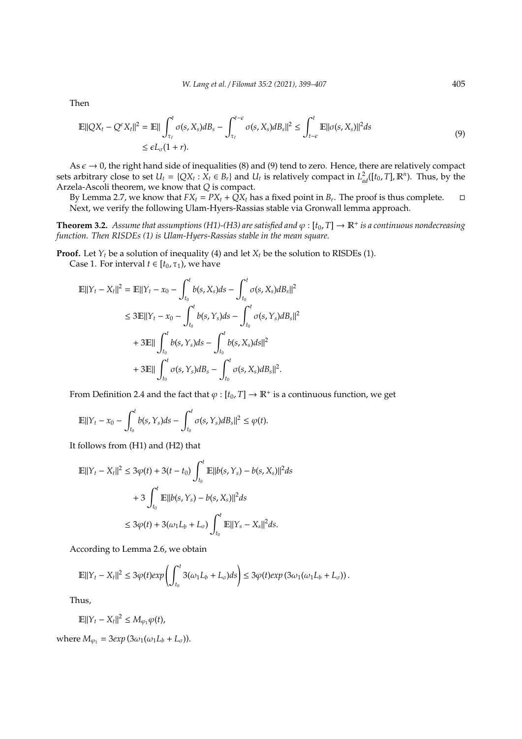Then

$$
\mathbb{E}||QX_t - Q^{\epsilon}X_t||^2 = \mathbb{E}||\int_{\tau_{\ell}}^t \sigma(s, X_s)dB_s - \int_{\tau_{\ell}}^{t-\epsilon} \sigma(s, X_s)dB_s||^2 \le \int_{t-\epsilon}^t \mathbb{E}||\sigma(s, X_s)||^2 ds
$$
\n
$$
\le \epsilon L_{\sigma}(1+r).
$$
\n(9)

As  $\epsilon \to 0$ , the right hand side of inequalities (8) and (9) tend to zero. Hence, there are relatively compact sets arbitrary close to set  $U_t = \{QX_t : X_t \in B_r\}$  and  $U_t$  is relatively compact in  $L^2_{ad}([t_0, T], \mathbb{R}^n)$ . Thus, by the Arzela-Ascoli theorem, we know that *Q* is compact.

By Lemma 2.7, we know that  $FX_t = PX_t + \tilde{Q}X_t$  has a fixed point in  $B_r$ . The proof is thus complete.  $\Box$ Next, we verify the following Ulam-Hyers-Rassias stable via Gronwall lemma approach.

**Theorem 3.2.** Assume that assumptions (H1)-(H3) are satisfied and  $\varphi$  : [t<sub>0</sub>, T]  $\to \mathbb{R}^+$  is a continuous nondecreasing *function. Then RISDEs (1) is Ulam-Hyers-Rassias stable in the mean square.*

**Proof.** Let  $Y_t$  be a solution of inequality (4) and let  $X_t$  be the solution to RISDEs (1).

Case 1. For interval  $t \in [t_0, \tau_1)$ , we have

$$
\mathbb{E}||Y_t - X_t||^2 = \mathbb{E}||Y_t - x_0 - \int_{t_0}^t b(s, X_s)ds - \int_{t_0}^t \sigma(s, X_s)dB_s||^2
$$
  
\n
$$
\leq 3\mathbb{E}||Y_t - x_0 - \int_{t_0}^t b(s, Y_s)ds - \int_{t_0}^t \sigma(s, Y_s)dB_s||^2
$$
  
\n
$$
+ 3\mathbb{E}||\int_{t_0}^t b(s, Y_s)ds - \int_{t_0}^t b(s, X_s)ds||^2
$$
  
\n
$$
+ 3\mathbb{E}||\int_{t_0}^t \sigma(s, Y_s)dB_s - \int_{t_0}^t \sigma(s, X_s)dB_s||^2.
$$

From Definition 2.4 and the fact that  $\varphi : [t_0, T] \to \mathbb{R}^+$  is a continuous function, we get

$$
\mathbb{E}||Y_t - x_0 - \int_{t_0}^t b(s, Y_s)ds - \int_{t_0}^t \sigma(s, Y_s)dB_s||^2 \leq \varphi(t).
$$

It follows from (H1) and (H2) that

$$
\mathbb{E}||Y_t - X_t||^2 \le 3\varphi(t) + 3(t - t_0) \int_{t_0}^t \mathbb{E}||b(s, Y_s) - b(s, X_s)||^2 ds
$$
  
+ 3 
$$
\int_{t_0}^t \mathbb{E}||b(s, Y_s) - b(s, X_s)||^2 ds
$$
  

$$
\le 3\varphi(t) + 3(\omega_1 L_b + L_\sigma) \int_{t_0}^t \mathbb{E}||Y_s - X_s||^2 ds.
$$

According to Lemma 2.6, we obtain

$$
\mathbb{E}||Y_t - X_t||^2 \leq 3\varphi(t)exp\left(\int_{t_0}^t 3(\omega_1L_b + L_{\sigma})ds\right) \leq 3\varphi(t)exp\left(3\omega_1(\omega_1L_b + L_{\sigma})\right).
$$

Thus,

$$
\mathbb{E}||Y_t - X_t||^2 \leq M_{\varphi_1} \varphi(t),
$$

where  $M_{\varphi_1} = 3exp(3\omega_1(\omega_1L_b + L_{\sigma}))$ .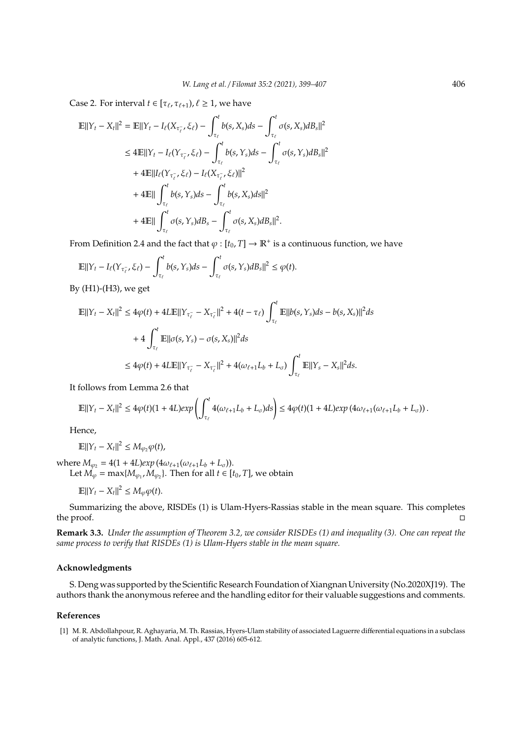Case 2. For interval  $t \in [\tau_{\ell}, \tau_{\ell+1}), \ell \geq 1$ , we have

$$
\mathbb{E}||Y_t - X_t||^2 = \mathbb{E}||Y_t - I_{\ell}(X_{\tau_{\ell}}, \xi_{\ell}) - \int_{\tau_{\ell}}^t b(s, X_s)ds - \int_{\tau_{\ell}}^t \sigma(s, X_s)dB_s||^2
$$
  
\n
$$
\leq 4\mathbb{E}||Y_t - I_{\ell}(Y_{\tau_{\ell}^{-}}, \xi_{\ell}) - \int_{\tau_{\ell}}^t b(s, Y_s)ds - \int_{\tau_{\ell}}^t \sigma(s, Y_s)dB_s||^2
$$
  
\n
$$
+ 4\mathbb{E}||I_{\ell}(Y_{\tau_{\ell}^{-}}, \xi_{\ell}) - I_{\ell}(X_{\tau_{\ell}^{-}}, \xi_{\ell})||^2
$$
  
\n
$$
+ 4\mathbb{E}||\int_{\tau_{\ell}}^t b(s, Y_s)ds - \int_{\tau_{\ell}}^t b(s, X_s)ds||^2
$$
  
\n
$$
+ 4\mathbb{E}||\int_{\tau_{\ell}}^t \sigma(s, Y_s)dB_s - \int_{\tau_{\ell}}^t \sigma(s, X_s)dB_s||^2.
$$

From Definition 2.4 and the fact that  $\varphi : [t_0, T] \to \mathbb{R}^+$  is a continuous function, we have

$$
\mathbb{E}||Y_t-I_{\ell}(Y_{\tau_{\ell}^-},\xi_{\ell})-\int_{\tau_{\ell}}^t b(s,Y_s)ds-\int_{\tau_{\ell}}^t \sigma(s,Y_s)dB_s||^2\leq \varphi(t).
$$

By (H1)-(H3), we get

$$
\begin{aligned} \|\mathbb{E}||Y_t - X_t||^2 &\le 4\varphi(t) + 4L\mathbb{E}||Y_{\tau_{\ell}^-} - X_{\tau_{\ell}^-}||^2 + 4(t - \tau_{\ell}) \int_{\tau_{\ell}}^t \mathbb{E}||b(s, Y_s)ds - b(s, X_s)||^2 ds \\ &+ 4 \int_{\tau_{\ell}}^t \mathbb{E}||\sigma(s, Y_s) - \sigma(s, X_s)||^2 ds \\ &\le 4\varphi(t) + 4L\mathbb{E}||Y_{\tau_{\ell}^-} - X_{\tau_{\ell}^-}||^2 + 4(\omega_{\ell+1}L_b + L_{\sigma}) \int_{\tau_{\ell}}^t \mathbb{E}||Y_s - X_s||^2 ds. \end{aligned}
$$

It follows from Lemma 2.6 that

$$
\mathbb{E}||Y_t-X_t||^2 \leq 4\varphi(t)(1+4L)exp\left(\int_{\tau_\ell}^t 4(\omega_{\ell+1}L_b+L_\sigma)ds\right) \leq 4\varphi(t)(1+4L)exp\left(4\omega_{\ell+1}(\omega_{\ell+1}L_b+L_\sigma)\right).
$$

Hence,

$$
\mathbb{E}||Y_t - X_t||^2 \le M_{\varphi_2} \varphi(t),
$$

 $where M_{\varphi_2} = 4(1 + 4L)exp(4\omega_{\ell+1}(\omega_{\ell+1}L_b + L_{\sigma})).$ Let  $M_{\varphi}$  = max{ $M_{\varphi_1}$ ,  $M_{\varphi_2}$ }. Then for all  $t \in [t_0, T]$ , we obtain

$$
\mathbb{E}||Y_t - X_t||^2 \le M_\varphi \varphi(t).
$$

Summarizing the above, RISDEs (1) is Ulam-Hyers-Rassias stable in the mean square. This completes the proof.

**Remark 3.3.** *Under the assumption of Theorem 3.2, we consider RISDEs (1) and inequality (3). One can repeat the same process to verify that RISDEs (1) is Ulam-Hyers stable in the mean square.*

#### **Acknowledgments**

S. Deng was supported by the Scientific Research Foundation of Xiangnan University (No.2020XJ19). The authors thank the anonymous referee and the handling editor for their valuable suggestions and comments.

#### **References**

[1] M. R. Abdollahpour, R. Aghayaria, M. Th. Rassias, Hyers-Ulam stability of associated Laguerre differential equations in a subclass of analytic functions, J. Math. Anal. Appl., 437 (2016) 605-612.